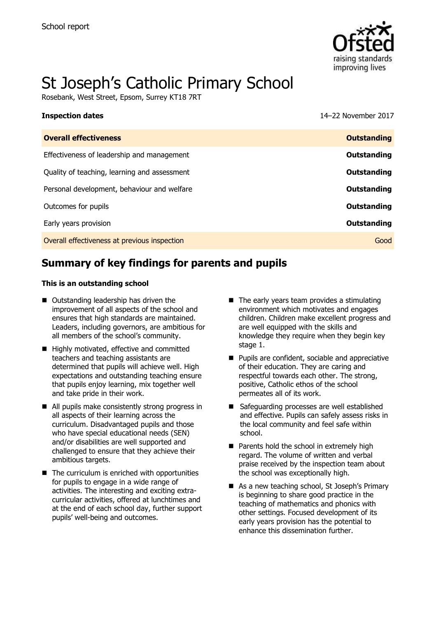

# St Joseph's Catholic Primary School

Rosebank, West Street, Epsom, Surrey KT18 7RT

**Inspection dates** 14–22 November 2017

| <b>Overall effectiveness</b>                 | <b>Outstanding</b> |
|----------------------------------------------|--------------------|
| Effectiveness of leadership and management   | Outstanding        |
| Quality of teaching, learning and assessment | Outstanding        |
| Personal development, behaviour and welfare  | Outstanding        |
| Outcomes for pupils                          | Outstanding        |
| Early years provision                        | Outstanding        |
| Overall effectiveness at previous inspection | Good               |
|                                              |                    |

# **Summary of key findings for parents and pupils**

#### **This is an outstanding school**

- Outstanding leadership has driven the improvement of all aspects of the school and ensures that high standards are maintained. Leaders, including governors, are ambitious for all members of the school's community.
- Highly motivated, effective and committed teachers and teaching assistants are determined that pupils will achieve well. High expectations and outstanding teaching ensure that pupils enjoy learning, mix together well and take pride in their work.
- All pupils make consistently strong progress in all aspects of their learning across the curriculum. Disadvantaged pupils and those who have special educational needs (SEN) and/or disabilities are well supported and challenged to ensure that they achieve their ambitious targets.
- $\blacksquare$  The curriculum is enriched with opportunities for pupils to engage in a wide range of activities. The interesting and exciting extracurricular activities, offered at lunchtimes and at the end of each school day, further support pupils' well-being and outcomes.
- $\blacksquare$  The early years team provides a stimulating environment which motivates and engages children. Children make excellent progress and are well equipped with the skills and knowledge they require when they begin key stage 1.
- **Pupils are confident, sociable and appreciative** of their education. They are caring and respectful towards each other. The strong, positive, Catholic ethos of the school permeates all of its work.
- Safeguarding processes are well established and effective. Pupils can safely assess risks in the local community and feel safe within school.
- **Parents hold the school in extremely high** regard. The volume of written and verbal praise received by the inspection team about the school was exceptionally high.
- As a new teaching school, St Joseph's Primary is beginning to share good practice in the teaching of mathematics and phonics with other settings. Focused development of its early years provision has the potential to enhance this dissemination further.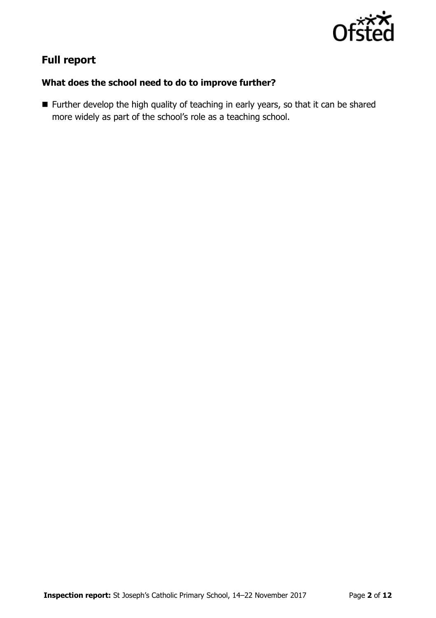

# **Full report**

## **What does the school need to do to improve further?**

**Further develop the high quality of teaching in early years, so that it can be shared** more widely as part of the school's role as a teaching school.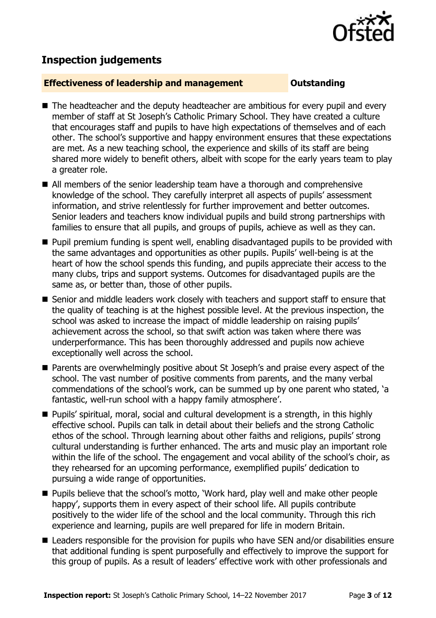

# **Inspection judgements**

### **Effectiveness of leadership and management Constanding**

- The headteacher and the deputy headteacher are ambitious for every pupil and every member of staff at St Joseph's Catholic Primary School. They have created a culture that encourages staff and pupils to have high expectations of themselves and of each other. The school's supportive and happy environment ensures that these expectations are met. As a new teaching school, the experience and skills of its staff are being shared more widely to benefit others, albeit with scope for the early years team to play a greater role.
- All members of the senior leadership team have a thorough and comprehensive knowledge of the school. They carefully interpret all aspects of pupils' assessment information, and strive relentlessly for further improvement and better outcomes. Senior leaders and teachers know individual pupils and build strong partnerships with families to ensure that all pupils, and groups of pupils, achieve as well as they can.
- **Pupil premium funding is spent well, enabling disadvantaged pupils to be provided with** the same advantages and opportunities as other pupils. Pupils' well-being is at the heart of how the school spends this funding, and pupils appreciate their access to the many clubs, trips and support systems. Outcomes for disadvantaged pupils are the same as, or better than, those of other pupils.
- Senior and middle leaders work closely with teachers and support staff to ensure that the quality of teaching is at the highest possible level. At the previous inspection, the school was asked to increase the impact of middle leadership on raising pupils' achievement across the school, so that swift action was taken where there was underperformance. This has been thoroughly addressed and pupils now achieve exceptionally well across the school.
- Parents are overwhelmingly positive about St Joseph's and praise every aspect of the school. The vast number of positive comments from parents, and the many verbal commendations of the school's work, can be summed up by one parent who stated, 'a fantastic, well-run school with a happy family atmosphere'.
- Pupils' spiritual, moral, social and cultural development is a strength, in this highly effective school. Pupils can talk in detail about their beliefs and the strong Catholic ethos of the school. Through learning about other faiths and religions, pupils' strong cultural understanding is further enhanced. The arts and music play an important role within the life of the school. The engagement and vocal ability of the school's choir, as they rehearsed for an upcoming performance, exemplified pupils' dedication to pursuing a wide range of opportunities.
- **Pupils believe that the school's motto, 'Work hard, play well and make other people** happy', supports them in every aspect of their school life. All pupils contribute positively to the wider life of the school and the local community. Through this rich experience and learning, pupils are well prepared for life in modern Britain.
- Leaders responsible for the provision for pupils who have SEN and/or disabilities ensure that additional funding is spent purposefully and effectively to improve the support for this group of pupils. As a result of leaders' effective work with other professionals and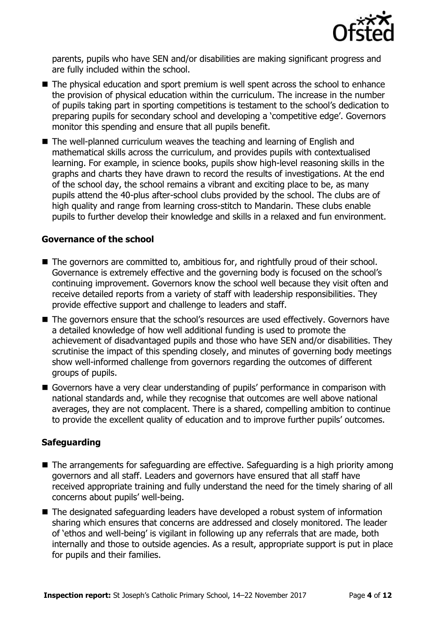

parents, pupils who have SEN and/or disabilities are making significant progress and are fully included within the school.

- The physical education and sport premium is well spent across the school to enhance the provision of physical education within the curriculum. The increase in the number of pupils taking part in sporting competitions is testament to the school's dedication to preparing pupils for secondary school and developing a 'competitive edge'. Governors monitor this spending and ensure that all pupils benefit.
- The well-planned curriculum weaves the teaching and learning of English and mathematical skills across the curriculum, and provides pupils with contextualised learning. For example, in science books, pupils show high-level reasoning skills in the graphs and charts they have drawn to record the results of investigations. At the end of the school day, the school remains a vibrant and exciting place to be, as many pupils attend the 40-plus after-school clubs provided by the school. The clubs are of high quality and range from learning cross-stitch to Mandarin. These clubs enable pupils to further develop their knowledge and skills in a relaxed and fun environment.

### **Governance of the school**

- The governors are committed to, ambitious for, and rightfully proud of their school. Governance is extremely effective and the governing body is focused on the school's continuing improvement. Governors know the school well because they visit often and receive detailed reports from a variety of staff with leadership responsibilities. They provide effective support and challenge to leaders and staff.
- The governors ensure that the school's resources are used effectively. Governors have a detailed knowledge of how well additional funding is used to promote the achievement of disadvantaged pupils and those who have SEN and/or disabilities. They scrutinise the impact of this spending closely, and minutes of governing body meetings show well-informed challenge from governors regarding the outcomes of different groups of pupils.
- Governors have a very clear understanding of pupils' performance in comparison with national standards and, while they recognise that outcomes are well above national averages, they are not complacent. There is a shared, compelling ambition to continue to provide the excellent quality of education and to improve further pupils' outcomes.

### **Safeguarding**

- The arrangements for safeguarding are effective. Safeguarding is a high priority among governors and all staff. Leaders and governors have ensured that all staff have received appropriate training and fully understand the need for the timely sharing of all concerns about pupils' well-being.
- The designated safeguarding leaders have developed a robust system of information sharing which ensures that concerns are addressed and closely monitored. The leader of 'ethos and well-being' is vigilant in following up any referrals that are made, both internally and those to outside agencies. As a result, appropriate support is put in place for pupils and their families.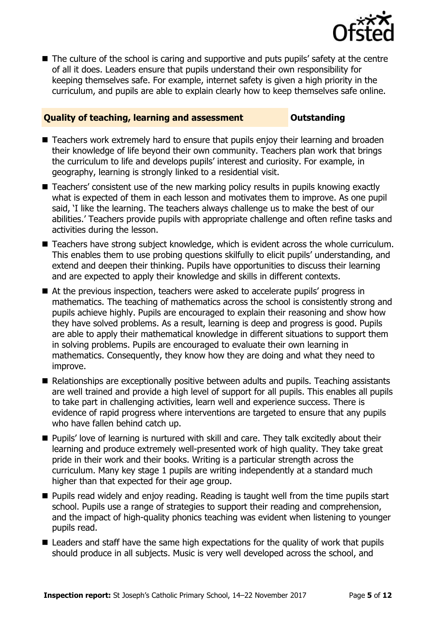

■ The culture of the school is caring and supportive and puts pupils' safety at the centre of all it does. Leaders ensure that pupils understand their own responsibility for keeping themselves safe. For example, internet safety is given a high priority in the curriculum, and pupils are able to explain clearly how to keep themselves safe online.

### **Quality of teaching, learning and assessment Outstanding**

- Teachers work extremely hard to ensure that pupils enjoy their learning and broaden their knowledge of life beyond their own community. Teachers plan work that brings the curriculum to life and develops pupils' interest and curiosity. For example, in geography, learning is strongly linked to a residential visit.
- Teachers' consistent use of the new marking policy results in pupils knowing exactly what is expected of them in each lesson and motivates them to improve. As one pupil said, 'I like the learning. The teachers always challenge us to make the best of our abilities.' Teachers provide pupils with appropriate challenge and often refine tasks and activities during the lesson.
- Teachers have strong subject knowledge, which is evident across the whole curriculum. This enables them to use probing questions skilfully to elicit pupils' understanding, and extend and deepen their thinking. Pupils have opportunities to discuss their learning and are expected to apply their knowledge and skills in different contexts.
- At the previous inspection, teachers were asked to accelerate pupils' progress in mathematics. The teaching of mathematics across the school is consistently strong and pupils achieve highly. Pupils are encouraged to explain their reasoning and show how they have solved problems. As a result, learning is deep and progress is good. Pupils are able to apply their mathematical knowledge in different situations to support them in solving problems. Pupils are encouraged to evaluate their own learning in mathematics. Consequently, they know how they are doing and what they need to improve.
- Relationships are exceptionally positive between adults and pupils. Teaching assistants are well trained and provide a high level of support for all pupils. This enables all pupils to take part in challenging activities, learn well and experience success. There is evidence of rapid progress where interventions are targeted to ensure that any pupils who have fallen behind catch up.
- **Pupils' love of learning is nurtured with skill and care. They talk excitedly about their** learning and produce extremely well-presented work of high quality. They take great pride in their work and their books. Writing is a particular strength across the curriculum. Many key stage 1 pupils are writing independently at a standard much higher than that expected for their age group.
- **Pupils read widely and enjoy reading. Reading is taught well from the time pupils start** school. Pupils use a range of strategies to support their reading and comprehension, and the impact of high-quality phonics teaching was evident when listening to younger pupils read.
- Leaders and staff have the same high expectations for the quality of work that pupils should produce in all subjects. Music is very well developed across the school, and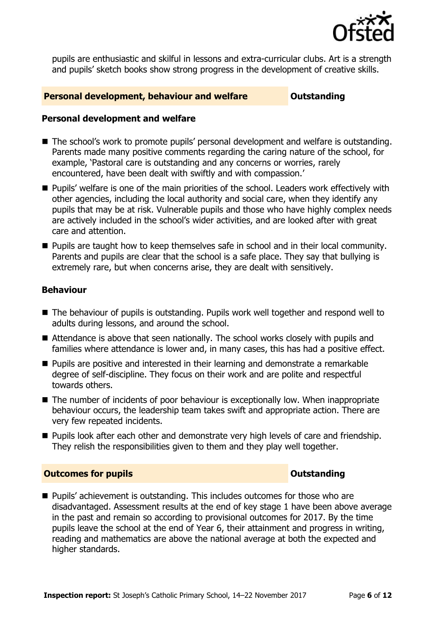

pupils are enthusiastic and skilful in lessons and extra-curricular clubs. Art is a strength and pupils' sketch books show strong progress in the development of creative skills.

#### **Personal development, behaviour and welfare <b>COUTS** Outstanding

### **Personal development and welfare**

- The school's work to promote pupils' personal development and welfare is outstanding. Parents made many positive comments regarding the caring nature of the school, for example, 'Pastoral care is outstanding and any concerns or worries, rarely encountered, have been dealt with swiftly and with compassion.'
- **Pupils'** welfare is one of the main priorities of the school. Leaders work effectively with other agencies, including the local authority and social care, when they identify any pupils that may be at risk. Vulnerable pupils and those who have highly complex needs are actively included in the school's wider activities, and are looked after with great care and attention.
- **Pupils are taught how to keep themselves safe in school and in their local community.** Parents and pupils are clear that the school is a safe place. They say that bullying is extremely rare, but when concerns arise, they are dealt with sensitively.

### **Behaviour**

- The behaviour of pupils is outstanding. Pupils work well together and respond well to adults during lessons, and around the school.
- Attendance is above that seen nationally. The school works closely with pupils and families where attendance is lower and, in many cases, this has had a positive effect.
- **Pupils are positive and interested in their learning and demonstrate a remarkable** degree of self-discipline. They focus on their work and are polite and respectful towards others.
- The number of incidents of poor behaviour is exceptionally low. When inappropriate behaviour occurs, the leadership team takes swift and appropriate action. There are very few repeated incidents.
- **Pupils look after each other and demonstrate very high levels of care and friendship.** They relish the responsibilities given to them and they play well together.

### **Outcomes for pupils Outstanding**

**Pupils'** achievement is outstanding. This includes outcomes for those who are disadvantaged. Assessment results at the end of key stage 1 have been above average in the past and remain so according to provisional outcomes for 2017. By the time pupils leave the school at the end of Year 6, their attainment and progress in writing, reading and mathematics are above the national average at both the expected and higher standards.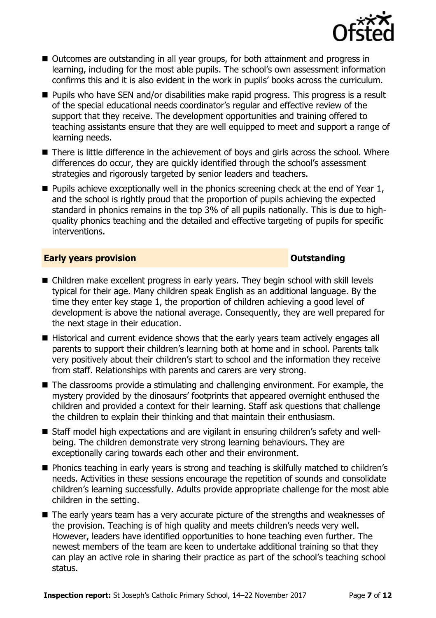

- Outcomes are outstanding in all year groups, for both attainment and progress in learning, including for the most able pupils. The school's own assessment information confirms this and it is also evident in the work in pupils' books across the curriculum.
- Pupils who have SEN and/or disabilities make rapid progress. This progress is a result of the special educational needs coordinator's regular and effective review of the support that they receive. The development opportunities and training offered to teaching assistants ensure that they are well equipped to meet and support a range of learning needs.
- There is little difference in the achievement of boys and girls across the school. Where differences do occur, they are quickly identified through the school's assessment strategies and rigorously targeted by senior leaders and teachers.
- **Pupils achieve exceptionally well in the phonics screening check at the end of Year 1,** and the school is rightly proud that the proportion of pupils achieving the expected standard in phonics remains in the top 3% of all pupils nationally. This is due to highquality phonics teaching and the detailed and effective targeting of pupils for specific interventions.

#### **Early years provision CONSTANDING TO A RESERVE THE SERVICE OF STATE OUTSTANDING**

- Children make excellent progress in early years. They begin school with skill levels typical for their age. Many children speak English as an additional language. By the time they enter key stage 1, the proportion of children achieving a good level of development is above the national average. Consequently, they are well prepared for the next stage in their education.
- Historical and current evidence shows that the early years team actively engages all parents to support their children's learning both at home and in school. Parents talk very positively about their children's start to school and the information they receive from staff. Relationships with parents and carers are very strong.
- The classrooms provide a stimulating and challenging environment. For example, the mystery provided by the dinosaurs' footprints that appeared overnight enthused the children and provided a context for their learning. Staff ask questions that challenge the children to explain their thinking and that maintain their enthusiasm.
- Staff model high expectations and are vigilant in ensuring children's safety and wellbeing. The children demonstrate very strong learning behaviours. They are exceptionally caring towards each other and their environment.
- Phonics teaching in early years is strong and teaching is skilfully matched to children's needs. Activities in these sessions encourage the repetition of sounds and consolidate children's learning successfully. Adults provide appropriate challenge for the most able children in the setting.
- The early years team has a very accurate picture of the strengths and weaknesses of the provision. Teaching is of high quality and meets children's needs very well. However, leaders have identified opportunities to hone teaching even further. The newest members of the team are keen to undertake additional training so that they can play an active role in sharing their practice as part of the school's teaching school status.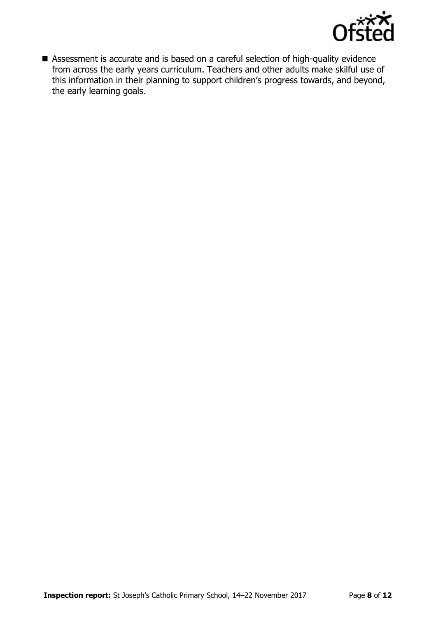

 Assessment is accurate and is based on a careful selection of high-quality evidence from across the early years curriculum. Teachers and other adults make skilful use of this information in their planning to support children's progress towards, and beyond, the early learning goals.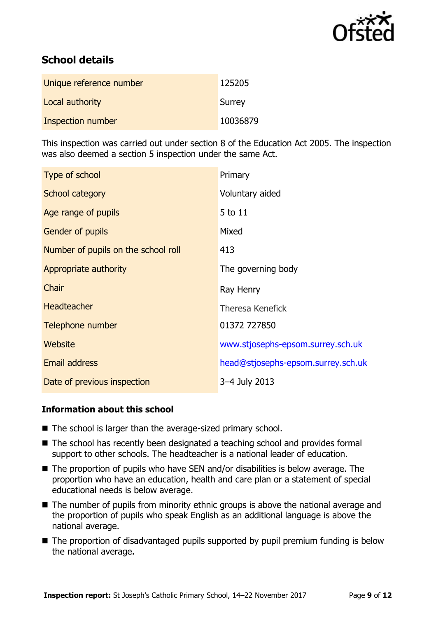

# **School details**

| Unique reference number | 125205   |
|-------------------------|----------|
| Local authority         | Surrey   |
| Inspection number       | 10036879 |

This inspection was carried out under section 8 of the Education Act 2005. The inspection was also deemed a section 5 inspection under the same Act.

| Type of school                      | Primary                            |
|-------------------------------------|------------------------------------|
| School category                     | Voluntary aided                    |
| Age range of pupils                 | 5 to 11                            |
| <b>Gender of pupils</b>             | Mixed                              |
| Number of pupils on the school roll | 413                                |
| Appropriate authority               | The governing body                 |
| Chair                               | Ray Henry                          |
| <b>Headteacher</b>                  | <b>Theresa Kenefick</b>            |
| Telephone number                    | 01372 727850                       |
| Website                             | www.stjosephs-epsom.surrey.sch.uk  |
| <b>Email address</b>                | head@stjosephs-epsom.surrey.sch.uk |
| Date of previous inspection         | 3-4 July 2013                      |

### **Information about this school**

- The school is larger than the average-sized primary school.
- The school has recently been designated a teaching school and provides formal support to other schools. The headteacher is a national leader of education.
- The proportion of pupils who have SEN and/or disabilities is below average. The proportion who have an education, health and care plan or a statement of special educational needs is below average.
- The number of pupils from minority ethnic groups is above the national average and the proportion of pupils who speak English as an additional language is above the national average.
- The proportion of disadvantaged pupils supported by pupil premium funding is below the national average.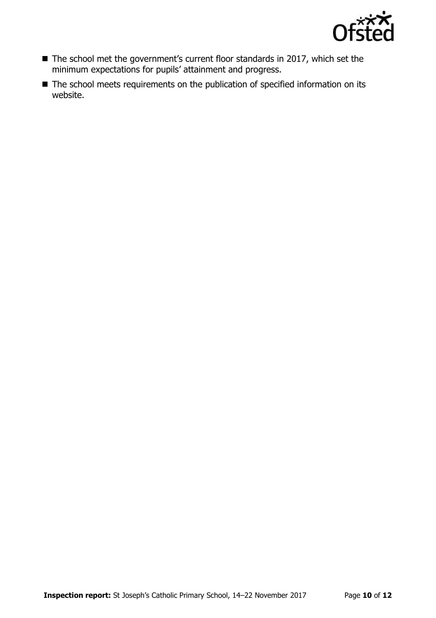

- The school met the government's current floor standards in 2017, which set the minimum expectations for pupils' attainment and progress.
- The school meets requirements on the publication of specified information on its website.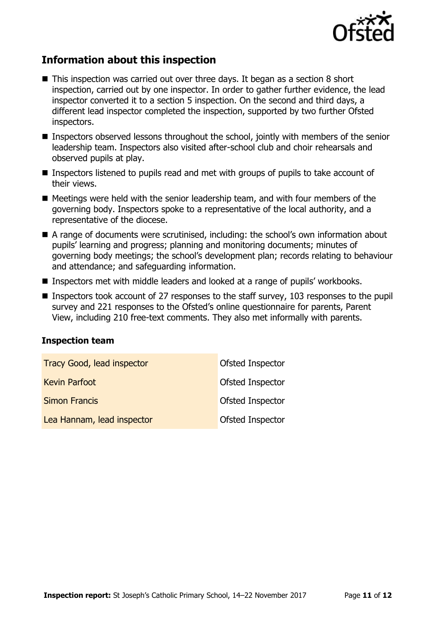

# **Information about this inspection**

- This inspection was carried out over three days. It began as a section 8 short inspection, carried out by one inspector. In order to gather further evidence, the lead inspector converted it to a section 5 inspection. On the second and third days, a different lead inspector completed the inspection, supported by two further Ofsted inspectors.
- Inspectors observed lessons throughout the school, jointly with members of the senior leadership team. Inspectors also visited after-school club and choir rehearsals and observed pupils at play.
- Inspectors listened to pupils read and met with groups of pupils to take account of their views.
- $\blacksquare$  Meetings were held with the senior leadership team, and with four members of the governing body. Inspectors spoke to a representative of the local authority, and a representative of the diocese.
- A range of documents were scrutinised, including: the school's own information about pupils' learning and progress; planning and monitoring documents; minutes of governing body meetings; the school's development plan; records relating to behaviour and attendance; and safeguarding information.
- Inspectors met with middle leaders and looked at a range of pupils' workbooks.
- **Inspectors took account of 27 responses to the staff survey, 103 responses to the pupil** survey and 221 responses to the Ofsted's online questionnaire for parents, Parent View, including 210 free-text comments. They also met informally with parents.

### **Inspection team**

| <b>Tracy Good, lead inspector</b> | Ofsted Inspector        |
|-----------------------------------|-------------------------|
| <b>Kevin Parfoot</b>              | <b>Ofsted Inspector</b> |
| <b>Simon Francis</b>              | <b>Ofsted Inspector</b> |
| Lea Hannam, lead inspector        | <b>Ofsted Inspector</b> |